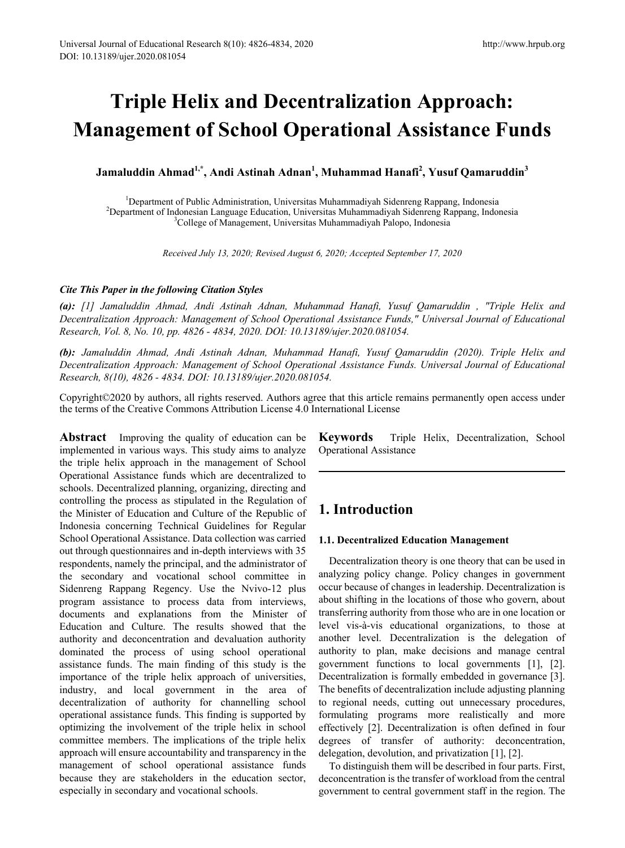# **Triple Helix and Decentralization Approach: Management of School Operational Assistance Funds**

**Jamaluddin Ahmad1,\*, Andi Astinah Adnan1 , Muhammad Hanafi<sup>2</sup> , Yusuf Qamaruddin<sup>3</sup>**

<sup>1</sup> Department of Public Administration, Universitas Muhammadiyah Sidenreng Rappang, Indonesia<sup>2</sup><br><sup>2</sup> Department of Indonesian Language Education, Universitas Muhammadiyah Sidenreng Rappang, Indo <sup>2</sup>Department of Indonesian Language Education, Universitas Muhammadiyah Sidenreng Rappang, Indonesia <sup>3</sup>College of Management, Universitas Muhammadiyah Palopo, Indonesia

*Received July 13, 2020; Revised August 6, 2020; Accepted September 17, 2020*

#### *Cite This Paper in the following Citation Styles*

*(a): [1] Jamaluddin Ahmad, Andi Astinah Adnan, Muhammad Hanafi, Yusuf Qamaruddin , "Triple Helix and Decentralization Approach: Management of School Operational Assistance Funds," Universal Journal of Educational Research, Vol. 8, No. 10, pp. 4826 - 4834, 2020. DOI: 10.13189/ujer.2020.081054.* 

*(b): Jamaluddin Ahmad, Andi Astinah Adnan, Muhammad Hanafi, Yusuf Qamaruddin (2020). Triple Helix and Decentralization Approach: Management of School Operational Assistance Funds. Universal Journal of Educational Research, 8(10), 4826 - 4834. DOI: 10.13189/ujer.2020.081054.* 

Copyright©2020 by authors, all rights reserved. Authors agree that this article remains permanently open access under the terms of the Creative Commons Attribution License 4.0 International License

**Abstract** Improving the quality of education can be implemented in various ways. This study aims to analyze the triple helix approach in the management of School Operational Assistance funds which are decentralized to schools. Decentralized planning, organizing, directing and controlling the process as stipulated in the Regulation of the Minister of Education and Culture of the Republic of Indonesia concerning Technical Guidelines for Regular School Operational Assistance. Data collection was carried out through questionnaires and in-depth interviews with 35 respondents, namely the principal, and the administrator of the secondary and vocational school committee in Sidenreng Rappang Regency. Use the Nvivo-12 plus program assistance to process data from interviews, documents and explanations from the Minister of Education and Culture. The results showed that the authority and deconcentration and devaluation authority dominated the process of using school operational assistance funds. The main finding of this study is the importance of the triple helix approach of universities, industry, and local government in the area of decentralization of authority for channelling school operational assistance funds. This finding is supported by optimizing the involvement of the triple helix in school committee members. The implications of the triple helix approach will ensure accountability and transparency in the management of school operational assistance funds because they are stakeholders in the education sector, especially in secondary and vocational schools.

**Keywords** Triple Helix, Decentralization, School Operational Assistance

## **1. Introduction**

#### **1.1. Decentralized Education Management**

Decentralization theory is one theory that can be used in analyzing policy change. Policy changes in government occur because of changes in leadership. Decentralization is about shifting in the locations of those who govern, about transferring authority from those who are in one location or level vis-à-vis educational organizations, to those at another level. Decentralization is the delegation of authority to plan, make decisions and manage central government functions to local governments [1], [2]. Decentralization is formally embedded in governance [3]. The benefits of decentralization include adjusting planning to regional needs, cutting out unnecessary procedures, formulating programs more realistically and more effectively [2]. Decentralization is often defined in four degrees of transfer of authority: deconcentration, delegation, devolution, and privatization [1], [2].

To distinguish them will be described in four parts. First, deconcentration is the transfer of workload from the central government to central government staff in the region. The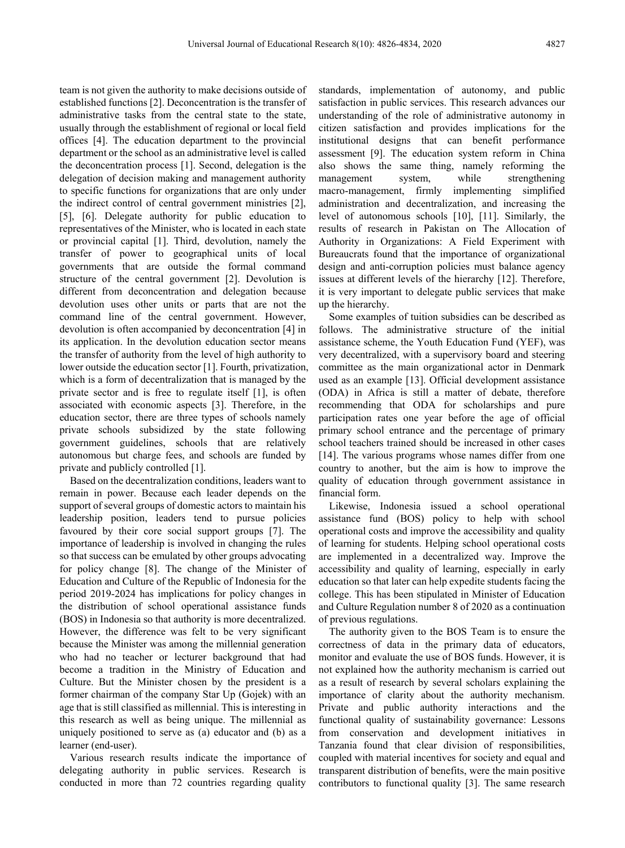team is not given the authority to make decisions outside of established functions [2]. Deconcentration is the transfer of administrative tasks from the central state to the state, usually through the establishment of regional or local field offices [4]. The education department to the provincial department or the school as an administrative level is called the deconcentration process [1]. Second, delegation is the delegation of decision making and management authority to specific functions for organizations that are only under the indirect control of central government ministries [2], [5], [6]. Delegate authority for public education to representatives of the Minister, who is located in each state or provincial capital [1]. Third, devolution, namely the transfer of power to geographical units of local governments that are outside the formal command structure of the central government [2]. Devolution is different from deconcentration and delegation because devolution uses other units or parts that are not the command line of the central government. However, devolution is often accompanied by deconcentration [4] in its application. In the devolution education sector means the transfer of authority from the level of high authority to lower outside the education sector [1]. Fourth, privatization, which is a form of decentralization that is managed by the private sector and is free to regulate itself [1], is often associated with economic aspects [3]. Therefore, in the education sector, there are three types of schools namely private schools subsidized by the state following government guidelines, schools that are relatively autonomous but charge fees, and schools are funded by private and publicly controlled [1].

Based on the decentralization conditions, leaders want to remain in power. Because each leader depends on the support of several groups of domestic actors to maintain his leadership position, leaders tend to pursue policies favoured by their core social support groups [7]. The importance of leadership is involved in changing the rules so that success can be emulated by other groups advocating for policy change [8]. The change of the Minister of Education and Culture of the Republic of Indonesia for the period 2019-2024 has implications for policy changes in the distribution of school operational assistance funds (BOS) in Indonesia so that authority is more decentralized. However, the difference was felt to be very significant because the Minister was among the millennial generation who had no teacher or lecturer background that had become a tradition in the Ministry of Education and Culture. But the Minister chosen by the president is a former chairman of the company Star Up (Gojek) with an age that is still classified as millennial. This is interesting in this research as well as being unique. The millennial as uniquely positioned to serve as (a) educator and (b) as a learner (end-user).

Various research results indicate the importance of delegating authority in public services. Research is conducted in more than 72 countries regarding quality

standards, implementation of autonomy, and public satisfaction in public services. This research advances our understanding of the role of administrative autonomy in citizen satisfaction and provides implications for the institutional designs that can benefit performance assessment [9]. The education system reform in China also shows the same thing, namely reforming the management system, while strengthening macro-management, firmly implementing simplified administration and decentralization, and increasing the level of autonomous schools [10], [11]. Similarly, the results of research in Pakistan on The Allocation of Authority in Organizations: A Field Experiment with Bureaucrats found that the importance of organizational design and anti-corruption policies must balance agency issues at different levels of the hierarchy [12]. Therefore, it is very important to delegate public services that make up the hierarchy.

Some examples of tuition subsidies can be described as follows. The administrative structure of the initial assistance scheme, the Youth Education Fund (YEF), was very decentralized, with a supervisory board and steering committee as the main organizational actor in Denmark used as an example [13]. Official development assistance (ODA) in Africa is still a matter of debate, therefore recommending that ODA for scholarships and pure participation rates one year before the age of official primary school entrance and the percentage of primary school teachers trained should be increased in other cases [14]. The various programs whose names differ from one country to another, but the aim is how to improve the quality of education through government assistance in financial form.

Likewise, Indonesia issued a school operational assistance fund (BOS) policy to help with school operational costs and improve the accessibility and quality of learning for students. Helping school operational costs are implemented in a decentralized way. Improve the accessibility and quality of learning, especially in early education so that later can help expedite students facing the college. This has been stipulated in Minister of Education and Culture Regulation number 8 of 2020 as a continuation of previous regulations.

The authority given to the BOS Team is to ensure the correctness of data in the primary data of educators, monitor and evaluate the use of BOS funds. However, it is not explained how the authority mechanism is carried out as a result of research by several scholars explaining the importance of clarity about the authority mechanism. Private and public authority interactions and the functional quality of sustainability governance: Lessons from conservation and development initiatives in Tanzania found that clear division of responsibilities, coupled with material incentives for society and equal and transparent distribution of benefits, were the main positive contributors to functional quality [3]. The same research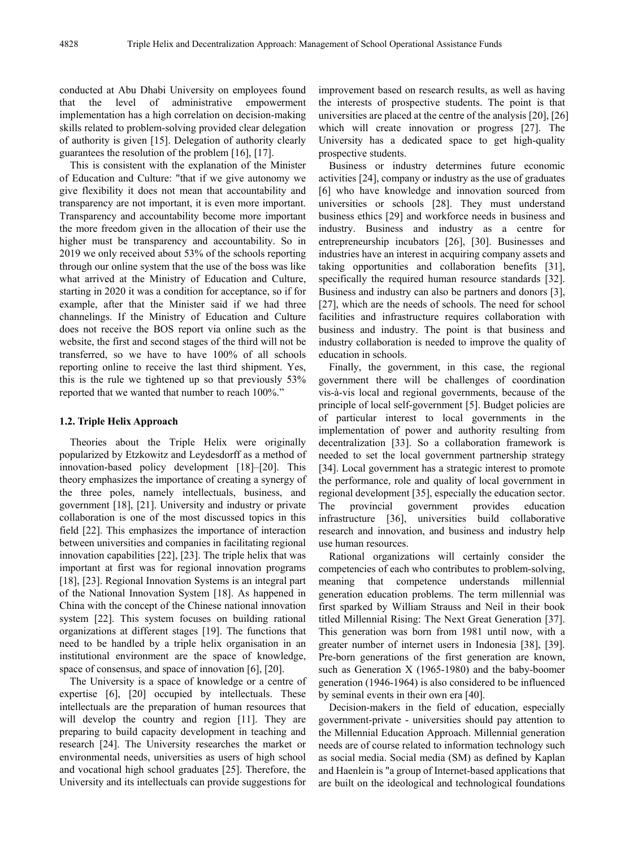conducted at Abu Dhabi University on employees found that the level of administrative empowerment implementation has a high correlation on decision-making skills related to problem-solving provided clear delegation of authority is given [15]. Delegation of authority clearly guarantees the resolution of the problem [16], [17].

This is consistent with the explanation of the Minister of Education and Culture: "that if we give autonomy we give flexibility it does not mean that accountability and transparency are not important, it is even more important. Transparency and accountability become more important the more freedom given in the allocation of their use the higher must be transparency and accountability. So in 2019 we only received about 53% of the schools reporting through our online system that the use of the boss was like what arrived at the Ministry of Education and Culture, starting in 2020 it was a condition for acceptance, so if for example, after that the Minister said if we had three channelings. If the Ministry of Education and Culture does not receive the BOS report via online such as the website, the first and second stages of the third will not be transferred, so we have to have 100% of all schools reporting online to receive the last third shipment. Yes, this is the rule we tightened up so that previously 53% reported that we wanted that number to reach 100%."

#### **1.2. Triple Helix Approach**

Theories about the Triple Helix were originally popularized by Etzkowitz and Leydesdorff as a method of innovation-based policy development [18]–[20]. This theory emphasizes the importance of creating a synergy of the three poles, namely intellectuals, business, and government [18], [21]. University and industry or private collaboration is one of the most discussed topics in this field [22]. This emphasizes the importance of interaction between universities and companies in facilitating regional innovation capabilities [22], [23]. The triple helix that was important at first was for regional innovation programs [18], [23]. Regional Innovation Systems is an integral part of the National Innovation System [18]. As happened in China with the concept of the Chinese national innovation system [22]. This system focuses on building rational organizations at different stages [19]. The functions that need to be handled by a triple helix organisation in an institutional environment are the space of knowledge, space of consensus, and space of innovation [6], [20].

The University is a space of knowledge or a centre of expertise [6], [20] occupied by intellectuals. These intellectuals are the preparation of human resources that will develop the country and region [11]. They are preparing to build capacity development in teaching and research [24]. The University researches the market or environmental needs, universities as users of high school and vocational high school graduates [25]. Therefore, the University and its intellectuals can provide suggestions for

improvement based on research results, as well as having the interests of prospective students. The point is that universities are placed at the centre of the analysis [20], [26] which will create innovation or progress [27]. The University has a dedicated space to get high-quality prospective students.

Business or industry determines future economic activities [24], company or industry as the use of graduates [6] who have knowledge and innovation sourced from universities or schools [28]. They must understand business ethics [29] and workforce needs in business and industry. Business and industry as a centre for entrepreneurship incubators [26], [30]. Businesses and industries have an interest in acquiring company assets and taking opportunities and collaboration benefits [31], specifically the required human resource standards [32]. Business and industry can also be partners and donors [3], [27], which are the needs of schools. The need for school facilities and infrastructure requires collaboration with business and industry. The point is that business and industry collaboration is needed to improve the quality of education in schools.

Finally, the government, in this case, the regional government there will be challenges of coordination vis-à-vis local and regional governments, because of the principle of local self-government [5]. Budget policies are of particular interest to local governments in the implementation of power and authority resulting from decentralization [33]. So a collaboration framework is needed to set the local government partnership strategy [34]. Local government has a strategic interest to promote the performance, role and quality of local government in regional development [35], especially the education sector. The provincial government provides education infrastructure [36], universities build collaborative research and innovation, and business and industry help use human resources.

Rational organizations will certainly consider the competencies of each who contributes to problem-solving, meaning that competence understands millennial generation education problems. The term millennial was first sparked by William Strauss and Neil in their book titled Millennial Rising: The Next Great Generation [37]. This generation was born from 1981 until now, with a greater number of internet users in Indonesia [38], [39]. Pre-born generations of the first generation are known, such as Generation X (1965-1980) and the baby-boomer generation (1946-1964) is also considered to be influenced by seminal events in their own era [40].

Decision-makers in the field of education, especially government-private - universities should pay attention to the Millennial Education Approach. Millennial generation needs are of course related to information technology such as social media. Social media (SM) as defined by Kaplan and Haenlein is "a group of Internet-based applications that are built on the ideological and technological foundations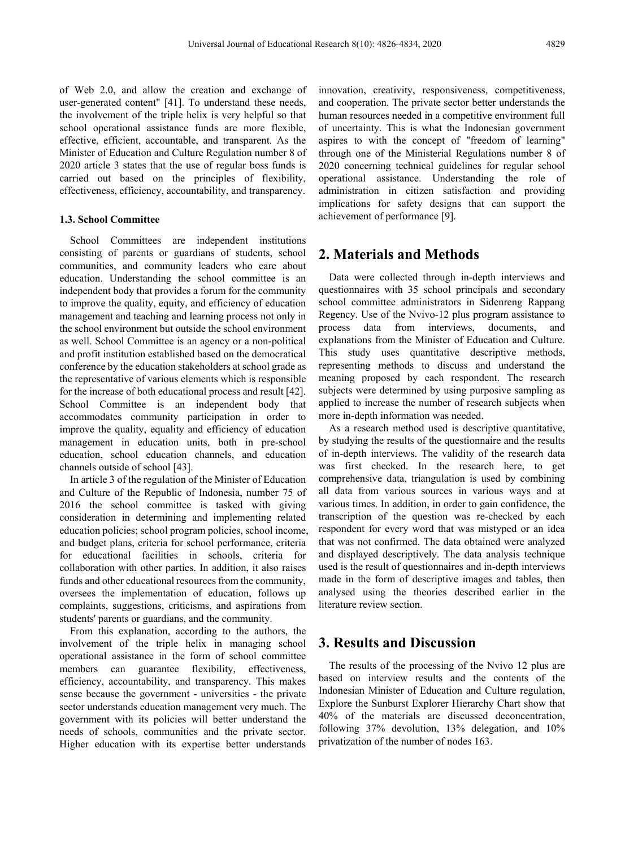of Web 2.0, and allow the creation and exchange of user-generated content" [41]. To understand these needs, the involvement of the triple helix is very helpful so that school operational assistance funds are more flexible, effective, efficient, accountable, and transparent. As the Minister of Education and Culture Regulation number 8 of 2020 article 3 states that the use of regular boss funds is carried out based on the principles of flexibility, effectiveness, efficiency, accountability, and transparency.

#### **1.3. School Committee**

School Committees are independent institutions consisting of parents or guardians of students, school communities, and community leaders who care about education. Understanding the school committee is an independent body that provides a forum for the community to improve the quality, equity, and efficiency of education management and teaching and learning process not only in the school environment but outside the school environment as well. School Committee is an agency or a non-political and profit institution established based on the democratical conference by the education stakeholders at school grade as the representative of various elements which is responsible for the increase of both educational process and result [42]. School Committee is an independent body that accommodates community participation in order to improve the quality, equality and efficiency of education management in education units, both in pre-school education, school education channels, and education channels outside of school [43].

In article 3 of the regulation of the Minister of Education and Culture of the Republic of Indonesia, number 75 of 2016 the school committee is tasked with giving consideration in determining and implementing related education policies; school program policies, school income, and budget plans, criteria for school performance, criteria for educational facilities in schools, criteria for collaboration with other parties. In addition, it also raises funds and other educational resources from the community, oversees the implementation of education, follows up complaints, suggestions, criticisms, and aspirations from students' parents or guardians, and the community.

From this explanation, according to the authors, the involvement of the triple helix in managing school operational assistance in the form of school committee members can guarantee flexibility, effectiveness, efficiency, accountability, and transparency. This makes sense because the government - universities - the private sector understands education management very much. The government with its policies will better understand the needs of schools, communities and the private sector. Higher education with its expertise better understands innovation, creativity, responsiveness, competitiveness, and cooperation. The private sector better understands the human resources needed in a competitive environment full of uncertainty. This is what the Indonesian government aspires to with the concept of "freedom of learning" through one of the Ministerial Regulations number 8 of 2020 concerning technical guidelines for regular school operational assistance. Understanding the role of administration in citizen satisfaction and providing implications for safety designs that can support the achievement of performance [9].

## **2. Materials and Methods**

Data were collected through in-depth interviews and questionnaires with 35 school principals and secondary school committee administrators in Sidenreng Rappang Regency. Use of the Nvivo-12 plus program assistance to process data from interviews, documents, and explanations from the Minister of Education and Culture. This study uses quantitative descriptive methods, representing methods to discuss and understand the meaning proposed by each respondent. The research subjects were determined by using purposive sampling as applied to increase the number of research subjects when more in-depth information was needed.

As a research method used is descriptive quantitative, by studying the results of the questionnaire and the results of in-depth interviews. The validity of the research data was first checked. In the research here, to get comprehensive data, triangulation is used by combining all data from various sources in various ways and at various times. In addition, in order to gain confidence, the transcription of the question was re-checked by each respondent for every word that was mistyped or an idea that was not confirmed. The data obtained were analyzed and displayed descriptively. The data analysis technique used is the result of questionnaires and in-depth interviews made in the form of descriptive images and tables, then analysed using the theories described earlier in the literature review section.

## **3. Results and Discussion**

The results of the processing of the Nvivo 12 plus are based on interview results and the contents of the Indonesian Minister of Education and Culture regulation, Explore the Sunburst Explorer Hierarchy Chart show that 40% of the materials are discussed deconcentration, following 37% devolution, 13% delegation, and 10% privatization of the number of nodes 163.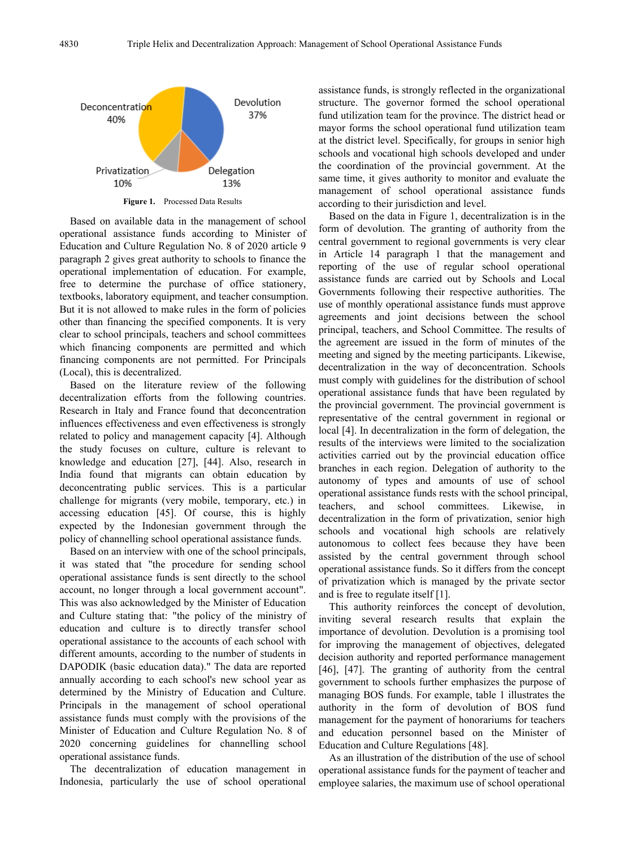

**Figure 1.** Processed Data Results

Based on available data in the management of school operational assistance funds according to Minister of Education and Culture Regulation No. 8 of 2020 article 9 paragraph 2 gives great authority to schools to finance the operational implementation of education. For example, free to determine the purchase of office stationery, textbooks, laboratory equipment, and teacher consumption. But it is not allowed to make rules in the form of policies other than financing the specified components. It is very clear to school principals, teachers and school committees which financing components are permitted and which financing components are not permitted. For Principals (Local), this is decentralized.

Based on the literature review of the following decentralization efforts from the following countries. Research in Italy and France found that deconcentration influences effectiveness and even effectiveness is strongly related to policy and management capacity [4]. Although the study focuses on culture, culture is relevant to knowledge and education [27], [44]. Also, research in India found that migrants can obtain education by deconcentrating public services. This is a particular challenge for migrants (very mobile, temporary, etc.) in accessing education [45]. Of course, this is highly expected by the Indonesian government through the policy of channelling school operational assistance funds.

Based on an interview with one of the school principals, it was stated that "the procedure for sending school operational assistance funds is sent directly to the school account, no longer through a local government account". This was also acknowledged by the Minister of Education and Culture stating that: "the policy of the ministry of education and culture is to directly transfer school operational assistance to the accounts of each school with different amounts, according to the number of students in DAPODIK (basic education data)." The data are reported annually according to each school's new school year as determined by the Ministry of Education and Culture. Principals in the management of school operational assistance funds must comply with the provisions of the Minister of Education and Culture Regulation No. 8 of 2020 concerning guidelines for channelling school operational assistance funds.

The decentralization of education management in Indonesia, particularly the use of school operational

assistance funds, is strongly reflected in the organizational structure. The governor formed the school operational fund utilization team for the province. The district head or mayor forms the school operational fund utilization team at the district level. Specifically, for groups in senior high schools and vocational high schools developed and under the coordination of the provincial government. At the same time, it gives authority to monitor and evaluate the management of school operational assistance funds according to their jurisdiction and level.

Based on the data in Figure 1, decentralization is in the form of devolution. The granting of authority from the central government to regional governments is very clear in Article 14 paragraph 1 that the management and reporting of the use of regular school operational assistance funds are carried out by Schools and Local Governments following their respective authorities. The use of monthly operational assistance funds must approve agreements and joint decisions between the school principal, teachers, and School Committee. The results of the agreement are issued in the form of minutes of the meeting and signed by the meeting participants. Likewise, decentralization in the way of deconcentration. Schools must comply with guidelines for the distribution of school operational assistance funds that have been regulated by the provincial government. The provincial government is representative of the central government in regional or local [4]. In decentralization in the form of delegation, the results of the interviews were limited to the socialization activities carried out by the provincial education office branches in each region. Delegation of authority to the autonomy of types and amounts of use of school operational assistance funds rests with the school principal, teachers, and school committees. Likewise, in decentralization in the form of privatization, senior high schools and vocational high schools are relatively autonomous to collect fees because they have been assisted by the central government through school operational assistance funds. So it differs from the concept of privatization which is managed by the private sector and is free to regulate itself [1].

This authority reinforces the concept of devolution, inviting several research results that explain the importance of devolution. Devolution is a promising tool for improving the management of objectives, delegated decision authority and reported performance management [46], [47]. The granting of authority from the central government to schools further emphasizes the purpose of managing BOS funds. For example, table 1 illustrates the authority in the form of devolution of BOS fund management for the payment of honorariums for teachers and education personnel based on the Minister of Education and Culture Regulations [48].

As an illustration of the distribution of the use of school operational assistance funds for the payment of teacher and employee salaries, the maximum use of school operational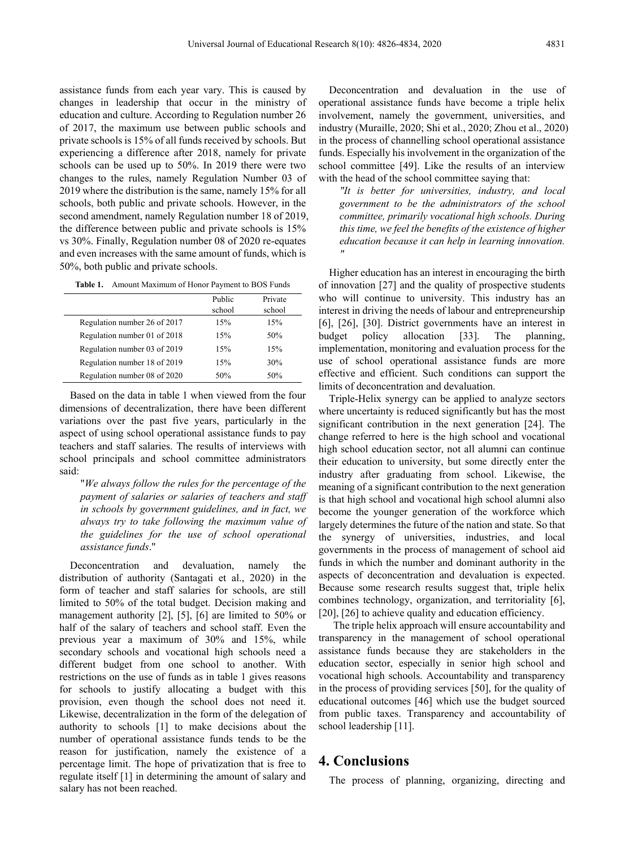assistance funds from each year vary. This is caused by changes in leadership that occur in the ministry of education and culture. According to Regulation number 26 of 2017, the maximum use between public schools and private schools is 15% of all funds received by schools. But experiencing a difference after 2018, namely for private schools can be used up to 50%. In 2019 there were two changes to the rules, namely Regulation Number 03 of 2019 where the distribution is the same, namely 15% for all schools, both public and private schools. However, in the second amendment, namely Regulation number 18 of 2019, the difference between public and private schools is 15% vs 30%. Finally, Regulation number 08 of 2020 re-equates and even increases with the same amount of funds, which is 50%, both public and private schools.

| <b>Table 1.</b> Amount Maximum of Honor Payment to BOS Funds |
|--------------------------------------------------------------|
|--------------------------------------------------------------|

|                              | Public<br>school | Private<br>school |
|------------------------------|------------------|-------------------|
|                              |                  |                   |
| Regulation number 26 of 2017 | 15%              | 15%               |
| Regulation number 01 of 2018 | 15%              | 50%               |
| Regulation number 03 of 2019 | 15%              | 15%               |
| Regulation number 18 of 2019 | 15%              | 30%               |
| Regulation number 08 of 2020 | 50%              | 50%               |

Based on the data in table 1 when viewed from the four dimensions of decentralization, there have been different variations over the past five years, particularly in the aspect of using school operational assistance funds to pay teachers and staff salaries. The results of interviews with school principals and school committee administrators said:

"*We always follow the rules for the percentage of the payment of salaries or salaries of teachers and staff in schools by government guidelines, and in fact, we always try to take following the maximum value of the guidelines for the use of school operational assistance funds*."

Deconcentration and devaluation, namely the distribution of authority (Santagati et al., 2020) in the form of teacher and staff salaries for schools, are still limited to 50% of the total budget. Decision making and management authority [2], [5], [6] are limited to 50% or half of the salary of teachers and school staff. Even the previous year a maximum of 30% and 15%, while secondary schools and vocational high schools need a different budget from one school to another. With restrictions on the use of funds as in table 1 gives reasons for schools to justify allocating a budget with this provision, even though the school does not need it. Likewise, decentralization in the form of the delegation of authority to schools [1] to make decisions about the number of operational assistance funds tends to be the reason for justification, namely the existence of a percentage limit. The hope of privatization that is free to regulate itself [1] in determining the amount of salary and salary has not been reached.

Deconcentration and devaluation in the use of operational assistance funds have become a triple helix involvement, namely the government, universities, and industry (Muraille, 2020; Shi et al., 2020; Zhou et al., 2020) in the process of channelling school operational assistance funds. Especially his involvement in the organization of the school committee [49]. Like the results of an interview with the head of the school committee saying that:

*"It is better for universities, industry, and local government to be the administrators of the school committee, primarily vocational high schools. During this time, we feel the benefits of the existence of higher education because it can help in learning innovation. "*

Higher education has an interest in encouraging the birth of innovation [27] and the quality of prospective students who will continue to university. This industry has an interest in driving the needs of labour and entrepreneurship [6], [26], [30]. District governments have an interest in budget policy allocation [33]. The planning, implementation, monitoring and evaluation process for the use of school operational assistance funds are more effective and efficient. Such conditions can support the limits of deconcentration and devaluation.

Triple-Helix synergy can be applied to analyze sectors where uncertainty is reduced significantly but has the most significant contribution in the next generation [24]. The change referred to here is the high school and vocational high school education sector, not all alumni can continue their education to university, but some directly enter the industry after graduating from school. Likewise, the meaning of a significant contribution to the next generation is that high school and vocational high school alumni also become the younger generation of the workforce which largely determines the future of the nation and state. So that the synergy of universities, industries, and local governments in the process of management of school aid funds in which the number and dominant authority in the aspects of deconcentration and devaluation is expected. Because some research results suggest that, triple helix combines technology, organization, and territoriality [6], [20], [26] to achieve quality and education efficiency.

The triple helix approach will ensure accountability and transparency in the management of school operational assistance funds because they are stakeholders in the education sector, especially in senior high school and vocational high schools. Accountability and transparency in the process of providing services [50], for the quality of educational outcomes [46] which use the budget sourced from public taxes. Transparency and accountability of school leadership [11].

### **4. Conclusions**

The process of planning, organizing, directing and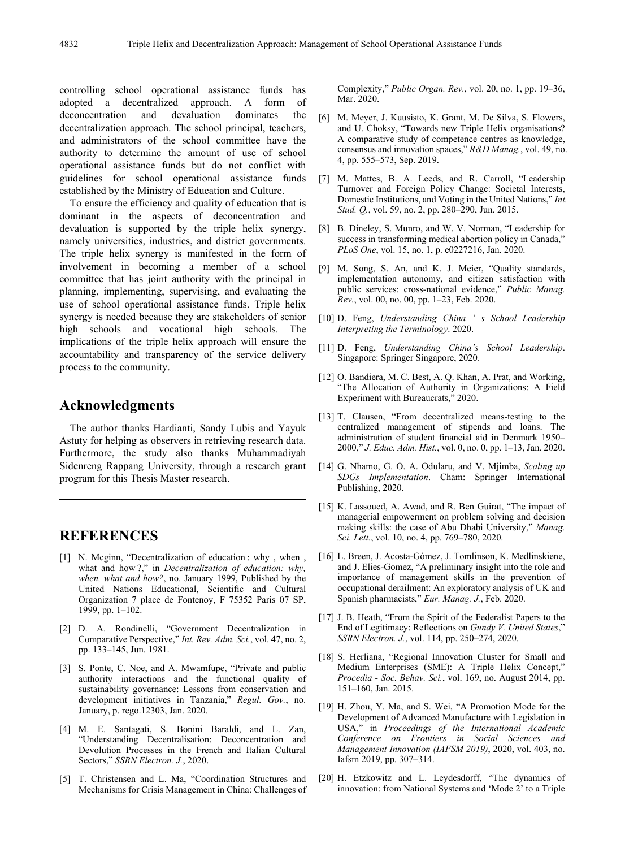controlling school operational assistance funds has adopted a decentralized approach. A form of deconcentration and devaluation dominates the decentralization approach. The school principal, teachers, and administrators of the school committee have the authority to determine the amount of use of school operational assistance funds but do not conflict with guidelines for school operational assistance funds established by the Ministry of Education and Culture.

To ensure the efficiency and quality of education that is dominant in the aspects of deconcentration and devaluation is supported by the triple helix synergy, namely universities, industries, and district governments. The triple helix synergy is manifested in the form of involvement in becoming a member of a school committee that has joint authority with the principal in planning, implementing, supervising, and evaluating the use of school operational assistance funds. Triple helix synergy is needed because they are stakeholders of senior high schools and vocational high schools. The implications of the triple helix approach will ensure the accountability and transparency of the service delivery process to the community.

### **Acknowledgments**

The author thanks Hardianti, Sandy Lubis and Yayuk Astuty for helping as observers in retrieving research data. Furthermore, the study also thanks Muhammadiyah Sidenreng Rappang University, through a research grant program for this Thesis Master research.

## **REFERENCES**

- [1] N. Mcginn, "Decentralization of education : why, when, what and how ?," in *Decentralization of education: why, when, what and how?*, no. January 1999, Published by the United Nations Educational, Scientific and Cultural Organization 7 place de Fontenoy, F 75352 Paris 07 SP, 1999, pp. 1–102.
- [2] D. A. Rondinelli, "Government Decentralization in Comparative Perspective," *Int. Rev. Adm. Sci.*, vol. 47, no. 2, pp. 133–145, Jun. 1981.
- [3] S. Ponte, C. Noe, and A. Mwamfupe, "Private and public authority interactions and the functional quality of sustainability governance: Lessons from conservation and development initiatives in Tanzania," *Regul. Gov.*, no. January, p. rego.12303, Jan. 2020.
- [4] M. E. Santagati, S. Bonini Baraldi, and L. Zan, "Understanding Decentralisation: Deconcentration and Devolution Processes in the French and Italian Cultural Sectors," *SSRN Electron. J.*, 2020.
- [5] T. Christensen and L. Ma, "Coordination Structures and Mechanisms for Crisis Management in China: Challenges of

Complexity," *Public Organ. Rev.*, vol. 20, no. 1, pp. 19–36, Mar. 2020.

- [6] M. Meyer, J. Kuusisto, K. Grant, M. De Silva, S. Flowers, and U. Choksy, "Towards new Triple Helix organisations? A comparative study of competence centres as knowledge, consensus and innovation spaces," *R&D Manag.*, vol. 49, no. 4, pp. 555–573, Sep. 2019.
- [7] M. Mattes, B. A. Leeds, and R. Carroll, "Leadership Turnover and Foreign Policy Change: Societal Interests, Domestic Institutions, and Voting in the United Nations," *Int. Stud. Q.*, vol. 59, no. 2, pp. 280–290, Jun. 2015.
- [8] B. Dineley, S. Munro, and W. V. Norman, "Leadership for success in transforming medical abortion policy in Canada," *PLoS One*, vol. 15, no. 1, p. e0227216, Jan. 2020.
- [9] M. Song, S. An, and K. J. Meier, "Quality standards, implementation autonomy, and citizen satisfaction with public services: cross-national evidence," *Public Manag. Rev.*, vol. 00, no. 00, pp. 1–23, Feb. 2020.
- [10] D. Feng, *Understanding China ' s School Leadership Interpreting the Terminology*. 2020.
- [11] D. Feng, *Understanding China's School Leadership*. Singapore: Springer Singapore, 2020.
- [12] O. Bandiera, M. C. Best, A. Q. Khan, A. Prat, and Working, "The Allocation of Authority in Organizations: A Field Experiment with Bureaucrats," 2020.
- [13] T. Clausen, "From decentralized means-testing to the centralized management of stipends and loans. The administration of student financial aid in Denmark 1950– 2000," *J. Educ. Adm. Hist.*, vol. 0, no. 0, pp. 1–13, Jan. 2020.
- [14] G. Nhamo, G. O. A. Odularu, and V. Mjimba, *Scaling up SDGs Implementation*. Cham: Springer International Publishing, 2020.
- [15] K. Lassoued, A. Awad, and R. Ben Guirat, "The impact of managerial empowerment on problem solving and decision making skills: the case of Abu Dhabi University," *Manag. Sci. Lett.*, vol. 10, no. 4, pp. 769–780, 2020.
- [16] L. Breen, J. Acosta-Gómez, J. Tomlinson, K. Medlinskiene, and J. Elies-Gomez, "A preliminary insight into the role and importance of management skills in the prevention of occupational derailment: An exploratory analysis of UK and Spanish pharmacists," *Eur. Manag. J.*, Feb. 2020.
- [17] J. B. Heath, "From the Spirit of the Federalist Papers to the End of Legitimacy: Reflections on *Gundy V. United States*," *SSRN Electron. J.*, vol. 114, pp. 250–274, 2020.
- [18] S. Herliana, "Regional Innovation Cluster for Small and Medium Enterprises (SME): A Triple Helix Concept," *Procedia - Soc. Behav. Sci.*, vol. 169, no. August 2014, pp. 151–160, Jan. 2015.
- [19] H. Zhou, Y. Ma, and S. Wei, "A Promotion Mode for the Development of Advanced Manufacture with Legislation in USA," in *Proceedings of the International Academic Conference on Frontiers in Social Sciences and Management Innovation (IAFSM 2019)*, 2020, vol. 403, no. Iafsm 2019, pp. 307–314.
- [20] H. Etzkowitz and L. Leydesdorff, "The dynamics of innovation: from National Systems and 'Mode 2' to a Triple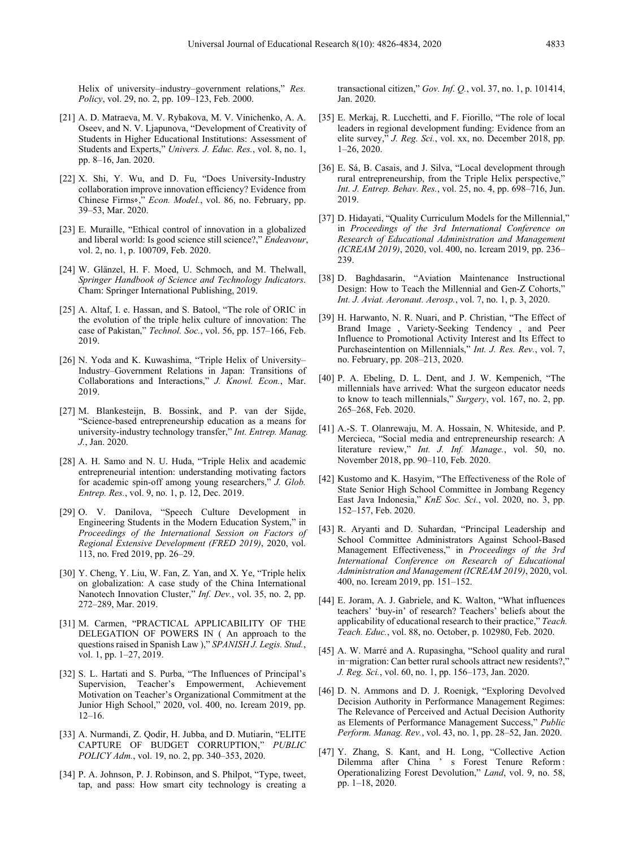Helix of university–industry–government relations," *Res. Policy*, vol. 29, no. 2, pp. 109–123, Feb. 2000.

- [21] A. D. Matraeva, M. V. Rybakova, M. V. Vinichenko, A. A. Oseev, and N. V. Ljapunova, "Development of Creativity of Students in Higher Educational Institutions: Assessment of Students and Experts," *Univers. J. Educ. Res.*, vol. 8, no. 1, pp. 8–16, Jan. 2020.
- [22] X. Shi, Y. Wu, and D. Fu, "Does University-Industry collaboration improve innovation efficiency? Evidence from Chinese Firms⋄," *Econ. Model.*, vol. 86, no. February, pp. 39–53, Mar. 2020.
- [23] E. Muraille, "Ethical control of innovation in a globalized and liberal world: Is good science still science?," *Endeavour*, vol. 2, no. 1, p. 100709, Feb. 2020.
- [24] W. Glänzel, H. F. Moed, U. Schmoch, and M. Thelwall, *Springer Handbook of Science and Technology Indicators*. Cham: Springer International Publishing, 2019.
- [25] A. Altaf, I. e. Hassan, and S. Batool, "The role of ORIC in the evolution of the triple helix culture of innovation: The case of Pakistan," *Technol. Soc.*, vol. 56, pp. 157–166, Feb. 2019.
- [26] N. Yoda and K. Kuwashima, "Triple Helix of University– Industry–Government Relations in Japan: Transitions of Collaborations and Interactions," *J. Knowl. Econ.*, Mar. 2019.
- [27] M. Blankesteijn, B. Bossink, and P. van der Sijde, "Science-based entrepreneurship education as a means for university-industry technology transfer," *Int. Entrep. Manag. J.*, Jan. 2020.
- [28] A. H. Samo and N. U. Huda, "Triple Helix and academic entrepreneurial intention: understanding motivating factors for academic spin-off among young researchers," *J. Glob. Entrep. Res.*, vol. 9, no. 1, p. 12, Dec. 2019.
- [29] O. V. Danilova, "Speech Culture Development in Engineering Students in the Modern Education System," in *Proceedings of the International Session on Factors of Regional Extensive Development (FRED 2019)*, 2020, vol. 113, no. Fred 2019, pp. 26–29.
- [30] Y. Cheng, Y. Liu, W. Fan, Z. Yan, and X. Ye, "Triple helix" on globalization: A case study of the China International Nanotech Innovation Cluster," *Inf. Dev.*, vol. 35, no. 2, pp. 272–289, Mar. 2019.
- [31] M. Carmen, "PRACTICAL APPLICABILITY OF THE DELEGATION OF POWERS IN ( An approach to the questions raised in Spanish Law )," *SPANISH J. Legis. Stud.*, vol. 1, pp. 1–27, 2019.
- [32] S. L. Hartati and S. Purba, "The Influences of Principal's Supervision, Teacher's Empowerment, Achievement Motivation on Teacher's Organizational Commitment at the Junior High School," 2020, vol. 400, no. Icream 2019, pp. 12–16.
- [33] A. Nurmandi, Z. Qodir, H. Jubba, and D. Mutiarin, "ELITE CAPTURE OF BUDGET CORRUPTION," *PUBLIC POLICY Adm.*, vol. 19, no. 2, pp. 340–353, 2020.
- [34] P. A. Johnson, P. J. Robinson, and S. Philpot, "Type, tweet, tap, and pass: How smart city technology is creating a

transactional citizen," *Gov. Inf. Q.*, vol. 37, no. 1, p. 101414, Jan. 2020.

- [35] E. Merkaj, R. Lucchetti, and F. Fiorillo, "The role of local leaders in regional development funding: Evidence from an elite survey," *J. Reg. Sci.*, vol. xx, no. December 2018, pp. 1–26, 2020.
- [36] E. Sá, B. Casais, and J. Silva, "Local development through rural entrepreneurship, from the Triple Helix perspective," *Int. J. Entrep. Behav. Res.*, vol. 25, no. 4, pp. 698–716, Jun. 2019.
- [37] D. Hidayati, "Quality Curriculum Models for the Millennial," in *Proceedings of the 3rd International Conference on Research of Educational Administration and Management (ICREAM 2019)*, 2020, vol. 400, no. Icream 2019, pp. 236– 239.
- [38] D. Baghdasarin, "Aviation Maintenance Instructional Design: How to Teach the Millennial and Gen-Z Cohorts," *Int. J. Aviat. Aeronaut. Aerosp.*, vol. 7, no. 1, p. 3, 2020.
- [39] H. Harwanto, N. R. Nuari, and P. Christian, "The Effect of Brand Image , Variety-Seeking Tendency , and Peer Influence to Promotional Activity Interest and Its Effect to Purchaseintention on Millennials," *Int. J. Res. Rev.*, vol. 7, no. February, pp. 208–213, 2020.
- [40] P. A. Ebeling, D. L. Dent, and J. W. Kempenich, "The millennials have arrived: What the surgeon educator needs to know to teach millennials," *Surgery*, vol. 167, no. 2, pp. 265–268, Feb. 2020.
- [41] A.-S. T. Olanrewaju, M. A. Hossain, N. Whiteside, and P. Mercieca, "Social media and entrepreneurship research: A literature review," *Int. J. Inf. Manage.*, vol. 50, no. November 2018, pp. 90–110, Feb. 2020.
- [42] Kustomo and K. Hasyim, "The Effectiveness of the Role of State Senior High School Committee in Jombang Regency East Java Indonesia," *KnE Soc. Sci.*, vol. 2020, no. 3, pp. 152–157, Feb. 2020.
- [43] R. Aryanti and D. Suhardan, "Principal Leadership and School Committee Administrators Against School-Based Management Effectiveness," in *Proceedings of the 3rd International Conference on Research of Educational Administration and Management (ICREAM 2019)*, 2020, vol. 400, no. Icream 2019, pp. 151–152.
- [44] E. Joram, A. J. Gabriele, and K. Walton, "What influences teachers' 'buy-in' of research? Teachers' beliefs about the applicability of educational research to their practice," *Teach. Teach. Educ.*, vol. 88, no. October, p. 102980, Feb. 2020.
- [45] A. W. Marré and A. Rupasingha, "School quality and rural in-migration: Can better rural schools attract new residents?," *J. Reg. Sci.*, vol. 60, no. 1, pp. 156–173, Jan. 2020.
- [46] D. N. Ammons and D. J. Roenigk, "Exploring Devolved Decision Authority in Performance Management Regimes: The Relevance of Perceived and Actual Decision Authority as Elements of Performance Management Success," *Public Perform. Manag. Rev.*, vol. 43, no. 1, pp. 28–52, Jan. 2020.
- [47] Y. Zhang, S. Kant, and H. Long, "Collective Action Dilemma after China ' s Forest Tenure Reform : Operationalizing Forest Devolution," *Land*, vol. 9, no. 58, pp. 1–18, 2020.